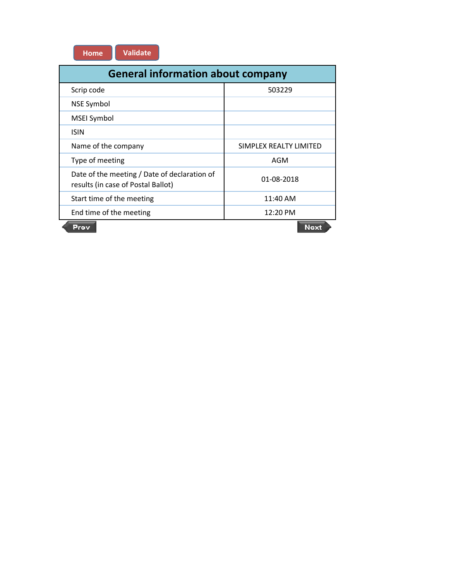| Home. | <b>Validate</b> |
|-------|-----------------|
|-------|-----------------|

| <b>General information about company</b>                                           |                        |  |  |  |  |
|------------------------------------------------------------------------------------|------------------------|--|--|--|--|
| Scrip code                                                                         | 503229                 |  |  |  |  |
| <b>NSE Symbol</b>                                                                  |                        |  |  |  |  |
| <b>MSEI Symbol</b>                                                                 |                        |  |  |  |  |
| <b>ISIN</b>                                                                        |                        |  |  |  |  |
| Name of the company                                                                | SIMPLEX REALTY LIMITED |  |  |  |  |
| Type of meeting                                                                    | AGM                    |  |  |  |  |
| Date of the meeting / Date of declaration of<br>results (in case of Postal Ballot) | 01-08-2018             |  |  |  |  |
| Start time of the meeting                                                          | 11:40 AM               |  |  |  |  |
| End time of the meeting                                                            | 12:20 PM               |  |  |  |  |
| Prev                                                                               | <b>Next</b>            |  |  |  |  |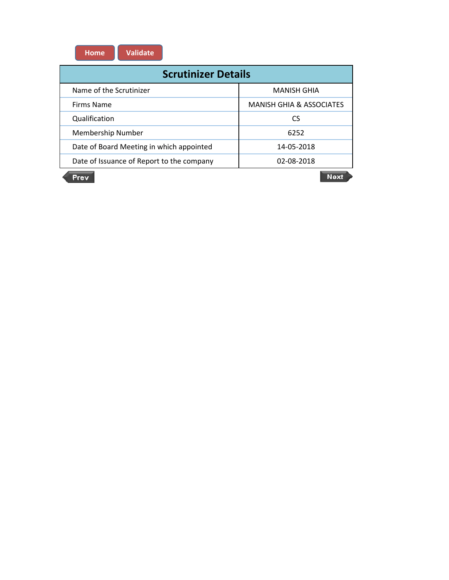**Home Validate**

| <b>Scrutinizer Details</b>                |                                     |  |  |  |  |  |  |
|-------------------------------------------|-------------------------------------|--|--|--|--|--|--|
| Name of the Scrutinizer                   | <b>MANISH GHIA</b>                  |  |  |  |  |  |  |
| Firms Name                                | <b>MANISH GHIA &amp; ASSOCIATES</b> |  |  |  |  |  |  |
| Qualification                             | CS                                  |  |  |  |  |  |  |
| Membership Number                         | 6252                                |  |  |  |  |  |  |
| Date of Board Meeting in which appointed  | 14-05-2018                          |  |  |  |  |  |  |
| Date of Issuance of Report to the company | 02-08-2018                          |  |  |  |  |  |  |
| Prev                                      | Noxt                                |  |  |  |  |  |  |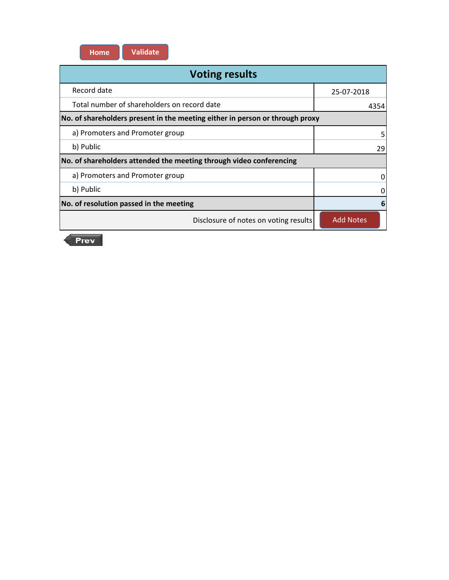

| <b>Voting results</b>                                                        |                  |  |  |  |  |
|------------------------------------------------------------------------------|------------------|--|--|--|--|
| Record date                                                                  | 25-07-2018       |  |  |  |  |
| Total number of shareholders on record date                                  | 4354             |  |  |  |  |
| No. of shareholders present in the meeting either in person or through proxy |                  |  |  |  |  |
| a) Promoters and Promoter group                                              |                  |  |  |  |  |
| b) Public                                                                    | 29               |  |  |  |  |
| No. of shareholders attended the meeting through video conferencing          |                  |  |  |  |  |
| a) Promoters and Promoter group                                              |                  |  |  |  |  |
| b) Public                                                                    |                  |  |  |  |  |
| No. of resolution passed in the meeting                                      |                  |  |  |  |  |
| Disclosure of notes on voting results                                        | <b>Add Notes</b> |  |  |  |  |

Prev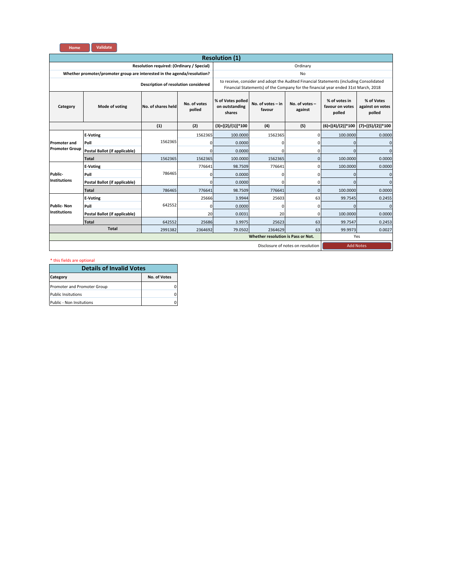

| <b>Resolution (1)</b>                     |                                                                                                                                                                             |                                      |          |                                            |                                                                                                                                                                               |                                   |                     |                     |
|-------------------------------------------|-----------------------------------------------------------------------------------------------------------------------------------------------------------------------------|--------------------------------------|----------|--------------------------------------------|-------------------------------------------------------------------------------------------------------------------------------------------------------------------------------|-----------------------------------|---------------------|---------------------|
| Resolution required: (Ordinary / Special) |                                                                                                                                                                             |                                      |          | Ordinary                                   |                                                                                                                                                                               |                                   |                     |                     |
|                                           | Whether promoter/promoter group are interested in the agenda/resolution?                                                                                                    |                                      |          |                                            |                                                                                                                                                                               | No                                |                     |                     |
|                                           |                                                                                                                                                                             | Description of resolution considered |          |                                            | to receive, consider and adopt the Audited Financial Statements (including Consolidated<br>Financial Statements) of the Company for the financial year ended 31st March, 2018 |                                   |                     |                     |
| Category                                  | % of Votes polled<br>No. of votes - in<br>No. of votes<br>No. of votes -<br>No. of shares held<br>on outstanding<br>Mode of voting<br>polled<br>favour<br>against<br>shares |                                      |          | % of votes in<br>favour on votes<br>polled | % of Votes<br>against on votes<br>polled                                                                                                                                      |                                   |                     |                     |
|                                           |                                                                                                                                                                             | (1)                                  | (2)      | $(3)=[(2)/(1)]*100$                        | (4)                                                                                                                                                                           | (5)                               | $(6)=[(4)/(2)]*100$ | $(7)=[(5)/(2)]*100$ |
|                                           | <b>E-Voting</b>                                                                                                                                                             |                                      | 1562365  | 100.0000                                   | 1562365                                                                                                                                                                       | $\mathbf 0$                       | 100.0000            | 0.0000              |
| <b>Promoter and</b>                       | Poll                                                                                                                                                                        | 1562365                              | $\Omega$ | 0.0000                                     | C                                                                                                                                                                             | 0                                 | $\mathbf 0$         | n                   |
| <b>Promoter Group</b>                     | Postal Ballot (if applicable)                                                                                                                                               |                                      | $\Omega$ | 0.0000                                     | C                                                                                                                                                                             | 0                                 | $\Omega$            | $\Omega$            |
|                                           | Total                                                                                                                                                                       | 1562365                              | 1562365  | 100.0000                                   | 1562365                                                                                                                                                                       | $\mathbf 0$                       | 100.0000            | 0.0000              |
|                                           | <b>E-Voting</b>                                                                                                                                                             |                                      | 776641   | 98.7509                                    | 776641                                                                                                                                                                        | 0                                 | 100.0000            | 0.0000              |
| Public-                                   | Poll                                                                                                                                                                        | 786465                               | 0        | 0.0000                                     | C                                                                                                                                                                             | 0                                 | $\mathbf{0}$        | $\Omega$            |
| <b>Institutions</b>                       | Postal Ballot (if applicable)                                                                                                                                               |                                      | $\Omega$ | 0.0000                                     | C                                                                                                                                                                             | 0                                 | $\Omega$            | $\Omega$            |
|                                           | <b>Total</b>                                                                                                                                                                | 786465                               | 776641   | 98.7509                                    | 776641                                                                                                                                                                        | $\Omega$                          | 100.0000            | 0.0000              |
|                                           | <b>E-Voting</b>                                                                                                                                                             |                                      | 25666    | 3.9944                                     | 25603                                                                                                                                                                         | 63                                | 99.7545             | 0.2455              |
| <b>Public-Non</b>                         | Poll                                                                                                                                                                        | 642552                               | 0        | 0.0000                                     | C                                                                                                                                                                             | 0                                 | $\Omega$            | $\Omega$            |
| <b>Institutions</b>                       | Postal Ballot (if applicable)                                                                                                                                               |                                      | 20       | 0.0031                                     | 20                                                                                                                                                                            | 0                                 | 100.0000            | 0.0000              |
|                                           | <b>Total</b>                                                                                                                                                                | 642552                               | 25686    | 3.9975                                     | 25623                                                                                                                                                                         | 63                                | 99.7547             | 0.2453              |
| <b>Total</b><br>2991382<br>2364692        |                                                                                                                                                                             |                                      | 79.0502  | 2364629                                    | 63                                                                                                                                                                            | 99.9973                           | 0.0027              |                     |
|                                           | Whether resolution is Pass or Not.                                                                                                                                          |                                      |          |                                            |                                                                                                                                                                               | Yes                               |                     |                     |
|                                           |                                                                                                                                                                             |                                      |          |                                            |                                                                                                                                                                               | Disclosure of notes on resolution | <b>Add Notes</b>    |                     |

| <b>Details of Invalid Votes</b> |              |  |  |  |  |
|---------------------------------|--------------|--|--|--|--|
| Category                        | No. of Votes |  |  |  |  |
| Promoter and Promoter Group     |              |  |  |  |  |
| <b>Public Insitutions</b>       |              |  |  |  |  |
| Public - Non Insitutions        |              |  |  |  |  |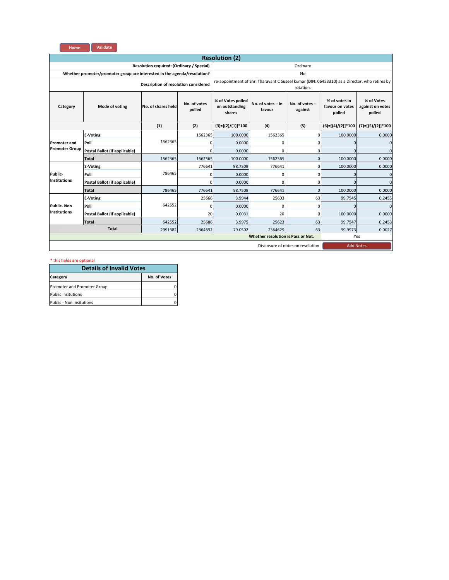

| <b>Resolution (2)</b>                     |                                                                          |                                      |                        |                                               |                                                                                               |                                   |                                            |                                          |
|-------------------------------------------|--------------------------------------------------------------------------|--------------------------------------|------------------------|-----------------------------------------------|-----------------------------------------------------------------------------------------------|-----------------------------------|--------------------------------------------|------------------------------------------|
| Resolution required: (Ordinary / Special) |                                                                          |                                      |                        | Ordinary                                      |                                                                                               |                                   |                                            |                                          |
|                                           | Whether promoter/promoter group are interested in the agenda/resolution? |                                      |                        |                                               |                                                                                               | No                                |                                            |                                          |
|                                           |                                                                          | Description of resolution considered |                        |                                               | re-appointment of Shri Tharavant C Suseel kumar (DIN: 06453310) as a Director, who retires by | rotation.                         |                                            |                                          |
| Category                                  | Mode of voting                                                           | No. of shares held                   | No. of votes<br>polled | % of Votes polled<br>on outstanding<br>shares | No. of votes - in<br>favour                                                                   | No. of votes -<br>against         | % of votes in<br>favour on votes<br>polled | % of Votes<br>against on votes<br>polled |
|                                           |                                                                          | (1)                                  | (2)                    | $(3)=[(2)/(1)]*100$                           | (4)                                                                                           | (5)                               | $(6)=[(4)/(2)]*100$                        | $(7)=[(5)/(2)]*100$                      |
|                                           | <b>E-Voting</b>                                                          |                                      | 1562365                | 100.0000                                      | 1562365                                                                                       | $\mathbf 0$                       | 100.0000                                   | 0.0000                                   |
| <b>Promoter and</b>                       | Poll                                                                     | 1562365                              | $\Omega$               | 0.0000                                        | C                                                                                             | 0                                 | $\mathbf 0$                                | 0                                        |
| <b>Promoter Group</b>                     | Postal Ballot (if applicable)                                            |                                      | $\Omega$               | 0.0000                                        | C                                                                                             | 0                                 | $\Omega$                                   | $\Omega$                                 |
|                                           | Total                                                                    | 1562365                              | 1562365                | 100.0000                                      | 1562365                                                                                       | $\mathbf 0$                       | 100.0000                                   | 0.0000                                   |
|                                           | <b>E-Voting</b>                                                          |                                      | 776641                 | 98.7509                                       | 776641                                                                                        | 0                                 | 100.0000                                   | 0.0000                                   |
| Public-                                   | Poll                                                                     | 786465                               | 0                      | 0.0000                                        | C                                                                                             | 0                                 | $\mathbf{0}$                               | $\Omega$                                 |
| <b>Institutions</b>                       | Postal Ballot (if applicable)                                            |                                      | $\Omega$               | 0.0000                                        | C                                                                                             | $\Omega$                          | $\Omega$                                   | $\Omega$                                 |
|                                           | <b>Total</b>                                                             | 786465                               | 776641                 | 98.7509                                       | 776641                                                                                        | $\Omega$                          | 100.0000                                   | 0.0000                                   |
|                                           | <b>E-Voting</b>                                                          |                                      | 25666                  | 3.9944                                        | 25603                                                                                         | 63                                | 99.7545                                    | 0.2455                                   |
| <b>Public-Non</b>                         | Poll                                                                     | 642552                               | 0                      | 0.0000                                        | C                                                                                             | 0                                 | $\Omega$                                   | $\Omega$                                 |
| <b>Institutions</b>                       | Postal Ballot (if applicable)                                            |                                      | 20                     | 0.0031                                        | 20                                                                                            | 0                                 | 100.0000                                   | 0.0000                                   |
|                                           | <b>Total</b>                                                             | 642552                               | 25686                  | 3.9975                                        | 25623                                                                                         | 63                                | 99.7547                                    | 0.2453                                   |
|                                           | <b>Total</b><br>2991382                                                  |                                      | 2364692                | 79.0502                                       | 2364629                                                                                       | 63                                | 99.9973                                    | 0.0027                                   |
|                                           | Whether resolution is Pass or Not.                                       |                                      |                        |                                               |                                                                                               | Yes                               |                                            |                                          |
|                                           |                                                                          |                                      |                        |                                               |                                                                                               | Disclosure of notes on resolution | <b>Add Notes</b>                           |                                          |

| <b>Details of Invalid Votes</b> |              |  |  |  |  |
|---------------------------------|--------------|--|--|--|--|
| Category                        | No. of Votes |  |  |  |  |
| Promoter and Promoter Group     |              |  |  |  |  |
| <b>Public Insitutions</b>       |              |  |  |  |  |
| Public - Non Insitutions        |              |  |  |  |  |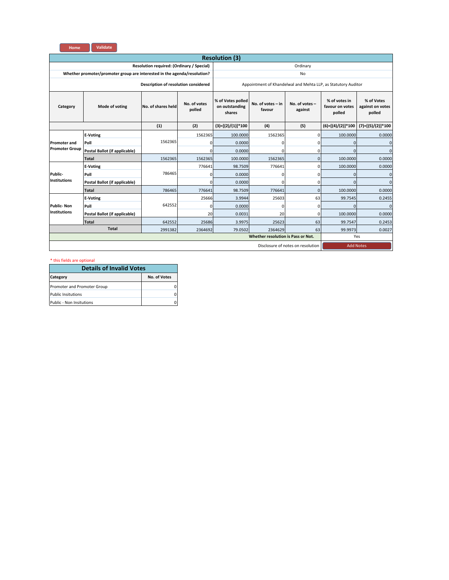

| <b>Resolution (3)</b>                     |                                                                                                                                                                             |                                      |                                            |                                          |                                                               |                                   |                     |                     |
|-------------------------------------------|-----------------------------------------------------------------------------------------------------------------------------------------------------------------------------|--------------------------------------|--------------------------------------------|------------------------------------------|---------------------------------------------------------------|-----------------------------------|---------------------|---------------------|
| Resolution required: (Ordinary / Special) |                                                                                                                                                                             |                                      |                                            | Ordinary                                 |                                                               |                                   |                     |                     |
|                                           | Whether promoter/promoter group are interested in the agenda/resolution?                                                                                                    |                                      |                                            |                                          |                                                               | No                                |                     |                     |
|                                           |                                                                                                                                                                             | Description of resolution considered |                                            |                                          | Appointment of Khandelwal and Mehta LLP, as Statutory Auditor |                                   |                     |                     |
| Category                                  | % of Votes polled<br>No. of votes<br>No. of votes - in<br>No. of votes -<br>No. of shares held<br>Mode of voting<br>on outstanding<br>polled<br>against<br>favour<br>shares |                                      | % of votes in<br>favour on votes<br>polled | % of Votes<br>against on votes<br>polled |                                                               |                                   |                     |                     |
|                                           |                                                                                                                                                                             | (1)                                  | (2)                                        | $(3)=[(2)/(1)]*100$                      | (4)                                                           | (5)                               | $(6)=[(4)/(2)]*100$ | $(7)=[(5)/(2)]*100$ |
|                                           | <b>E-Voting</b>                                                                                                                                                             |                                      | 1562365                                    | 100,0000                                 | 1562365                                                       | $\mathbf{0}$                      | 100,0000            | 0.0000              |
| <b>Promoter and</b>                       | Poll                                                                                                                                                                        | 1562365                              | 0                                          | 0.0000                                   | 0                                                             | $\mathbf 0$                       | $\mathbf{O}$        | ŋ                   |
| <b>Promoter Group</b>                     | Postal Ballot (if applicable)                                                                                                                                               |                                      | $\Omega$                                   | 0.0000                                   | $\Omega$                                                      | 0                                 | $\mathbf{O}$        | $\Omega$            |
|                                           | <b>Total</b>                                                                                                                                                                | 1562365                              | 1562365                                    | 100.0000                                 | 1562365                                                       | $\mathbf 0$                       | 100.0000            | 0.0000              |
|                                           | <b>E-Voting</b>                                                                                                                                                             |                                      | 776641                                     | 98.7509                                  | 776641                                                        | $\mathbf{0}$                      | 100.0000            | 0.0000              |
| Public-                                   | Poll                                                                                                                                                                        | 786465                               | $\mathbf 0$                                | 0.0000                                   | $\mathbf 0$                                                   | $\mathbf 0$                       | $\Omega$            | Ω                   |
| <b>Institutions</b>                       | Postal Ballot (if applicable)                                                                                                                                               |                                      | $\Omega$                                   | 0.0000                                   | $\Omega$                                                      | 0                                 | $\Omega$            | $\Omega$            |
|                                           | <b>Total</b>                                                                                                                                                                | 786465                               | 776641                                     | 98.7509                                  | 776641                                                        | $\mathbf 0$                       | 100.0000            | 0.0000              |
|                                           | <b>E-Voting</b>                                                                                                                                                             |                                      | 25666                                      | 3.9944                                   | 25603                                                         | 63                                | 99.7545             | 0.2455              |
| <b>Public-Non</b>                         | Poll                                                                                                                                                                        | 642552                               | $\mathbf 0$                                | 0.0000                                   | $\Omega$                                                      | $\mathbf 0$                       | $\Omega$            | n                   |
| <b>Institutions</b>                       | Postal Ballot (if applicable)                                                                                                                                               |                                      | 20                                         | 0.0031                                   | 20                                                            | $\mathbf 0$                       | 100,0000            | 0.0000              |
|                                           | <b>Total</b>                                                                                                                                                                | 642552                               | 25686                                      | 3.9975                                   | 25623                                                         | 63                                | 99.7547             | 0.2453              |
|                                           | <b>Total</b>                                                                                                                                                                | 2991382                              | 2364692                                    | 79.0502                                  | 2364629                                                       | 63                                | 99.9973             | 0.0027              |
|                                           | Whether resolution is Pass or Not.                                                                                                                                          |                                      |                                            |                                          |                                                               |                                   | Yes                 |                     |
|                                           |                                                                                                                                                                             |                                      |                                            |                                          |                                                               | Disclosure of notes on resolution | <b>Add Notes</b>    |                     |

| <b>Details of Invalid Votes</b> |              |  |  |  |  |
|---------------------------------|--------------|--|--|--|--|
| Category                        | No. of Votes |  |  |  |  |
| Promoter and Promoter Group     |              |  |  |  |  |
| <b>Public Insitutions</b>       |              |  |  |  |  |
| Public - Non Insitutions        |              |  |  |  |  |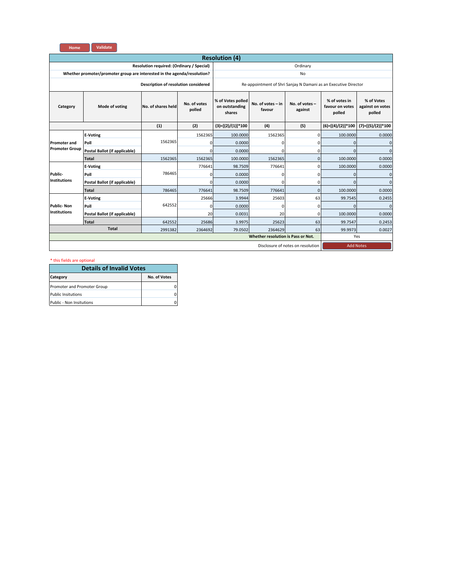

| <b>Resolution (4)</b>                     |                                                                                                                                                                               |                                      |             |                     |                                                                 |                                          |                     |                     |
|-------------------------------------------|-------------------------------------------------------------------------------------------------------------------------------------------------------------------------------|--------------------------------------|-------------|---------------------|-----------------------------------------------------------------|------------------------------------------|---------------------|---------------------|
| Resolution required: (Ordinary / Special) |                                                                                                                                                                               |                                      |             | Ordinary            |                                                                 |                                          |                     |                     |
|                                           | Whether promoter/promoter group are interested in the agenda/resolution?                                                                                                      |                                      |             |                     |                                                                 | No                                       |                     |                     |
|                                           |                                                                                                                                                                               | Description of resolution considered |             |                     | Re-appointment of Shri Sanjay N Damani as an Executive Director |                                          |                     |                     |
| Category                                  | % of Votes polled<br>No. of votes<br>No. of votes $-$ in<br>No. of votes -<br>No. of shares held<br>Mode of voting<br>on outstanding<br>polled<br>against<br>favour<br>shares |                                      |             |                     | % of votes in<br>favour on votes<br>polled                      | % of Votes<br>against on votes<br>polled |                     |                     |
|                                           |                                                                                                                                                                               | (1)                                  | (2)         | $(3)=[(2)/(1)]*100$ | (4)                                                             | (5)                                      | $(6)=[(4)/(2)]*100$ | $(7)=[(5)/(2)]*100$ |
|                                           | <b>E-Voting</b>                                                                                                                                                               |                                      | 1562365     | 100,0000            | 1562365                                                         | $\mathbf{0}$                             | 100.0000            | 0.0000              |
| <b>Promoter and</b>                       | Poll                                                                                                                                                                          | 1562365                              | $\Omega$    | 0.0000              | 0                                                               | 0                                        | $\Omega$            |                     |
| <b>Promoter Group</b>                     | Postal Ballot (if applicable)                                                                                                                                                 |                                      | $\Omega$    | 0.0000              | $\Omega$                                                        | 0                                        | $\Omega$            | ŋ                   |
|                                           | <b>Total</b>                                                                                                                                                                  | 1562365                              | 1562365     | 100.0000            | 1562365                                                         | $\mathbf 0$                              | 100.0000            | 0.0000              |
|                                           | <b>E-Voting</b>                                                                                                                                                               |                                      | 776641      | 98.7509             | 776641                                                          | 0                                        | 100.0000            | 0.0000              |
| Public-                                   | Poll                                                                                                                                                                          | 786465                               | $\Omega$    | 0.0000              | $\Omega$                                                        | 0                                        | $\Omega$            | O                   |
| <b>Institutions</b>                       | Postal Ballot (if applicable)                                                                                                                                                 |                                      | $\Omega$    | 0.0000              | $\Omega$                                                        | $\mathbf 0$                              | $\Omega$            | $\Omega$            |
|                                           | <b>Total</b>                                                                                                                                                                  | 786465                               | 776641      | 98.7509             | 776641                                                          | $\mathbf 0$                              | 100.0000            | 0.0000              |
|                                           | <b>E-Voting</b>                                                                                                                                                               |                                      | 25666       | 3.9944              | 25603                                                           | 63                                       | 99.7545             | 0.2455              |
| <b>Public-Non</b>                         | Poll                                                                                                                                                                          | 642552                               | $\mathbf 0$ | 0.0000              | 0                                                               | $\mathbf 0$                              | $\Omega$            | ŋ                   |
| <b>Institutions</b>                       | Postal Ballot (if applicable)                                                                                                                                                 |                                      | 20          | 0.0031              | 20                                                              | $\mathbf 0$                              | 100.0000            | 0.0000              |
|                                           | <b>Total</b>                                                                                                                                                                  | 642552                               | 25686       | 3.9975              | 25623                                                           | 63                                       | 99.7547             | 0.2453              |
|                                           | <b>Total</b>                                                                                                                                                                  | 2991382                              | 2364692     | 79.0502             | 2364629                                                         | 63                                       | 99.9973             | 0.0027              |
|                                           | <b>Whether resolution is Pass or Not.</b>                                                                                                                                     |                                      |             |                     |                                                                 |                                          | Yes                 |                     |
|                                           |                                                                                                                                                                               |                                      |             |                     |                                                                 | Disclosure of notes on resolution        | <b>Add Notes</b>    |                     |

| <b>Details of Invalid Votes</b> |              |  |  |  |  |
|---------------------------------|--------------|--|--|--|--|
| Category                        | No. of Votes |  |  |  |  |
| Promoter and Promoter Group     |              |  |  |  |  |
| <b>Public Insitutions</b>       |              |  |  |  |  |
| Public - Non Insitutions        |              |  |  |  |  |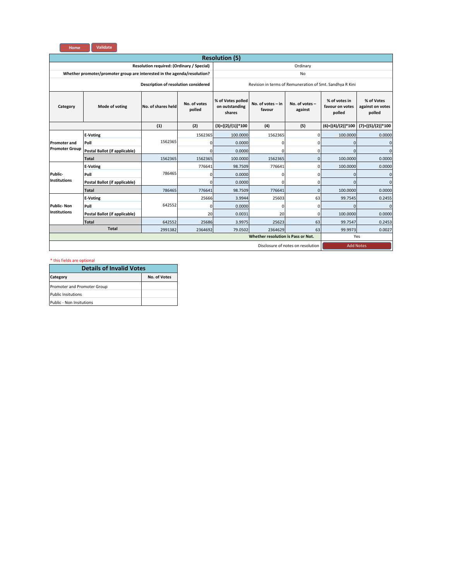

| <b>Resolution (5)</b>                                                    |                               |                    |                                                          |                                               |                             |                           |                                            |                                          |  |
|--------------------------------------------------------------------------|-------------------------------|--------------------|----------------------------------------------------------|-----------------------------------------------|-----------------------------|---------------------------|--------------------------------------------|------------------------------------------|--|
| Resolution required: (Ordinary / Special)                                |                               |                    |                                                          | Ordinary                                      |                             |                           |                                            |                                          |  |
| Whether promoter/promoter group are interested in the agenda/resolution? |                               |                    |                                                          | No                                            |                             |                           |                                            |                                          |  |
| Description of resolution considered                                     |                               |                    | Revision in terms of Remuneration of Smt. Sandhya R Kini |                                               |                             |                           |                                            |                                          |  |
| Category                                                                 | Mode of voting                | No. of shares held | No. of votes<br>polled                                   | % of Votes polled<br>on outstanding<br>shares | No. of votes - in<br>favour | No. of votes -<br>against | % of votes in<br>favour on votes<br>polled | % of Votes<br>against on votes<br>polled |  |
|                                                                          |                               | (1)                | (2)                                                      | $(3)=[(2)/(1)]*100$                           | (4)                         | (5)                       | $(6)=[(4)/(2)]*100$                        | $(7)=[(5)/(2)]*100$                      |  |
| <b>Promoter and</b>                                                      | <b>E-Voting</b>               | 1562365            | 1562365                                                  | 100,0000                                      | 1562365                     | $\mathbf{0}$              | 100,0000                                   | 0.0000                                   |  |
|                                                                          | Poll                          |                    | 0                                                        | 0.0000                                        | 0                           | $\mathbf 0$               | $\mathbf{O}$                               | ŋ                                        |  |
| <b>Promoter Group</b>                                                    | Postal Ballot (if applicable) |                    | $\Omega$                                                 | 0.0000                                        | $\Omega$                    | $\mathbf 0$               | $\mathbf{O}$                               | $\Omega$                                 |  |
|                                                                          | <b>Total</b>                  | 1562365            | 1562365                                                  | 100.0000                                      | 1562365                     | $\mathbf 0$               | 100.0000                                   | 0.0000                                   |  |
|                                                                          | <b>E-Voting</b>               | 786465             | 776641                                                   | 98.7509                                       | 776641                      | $\mathbf{0}$              | 100.0000                                   | 0.0000                                   |  |
| Public-                                                                  | Poll                          |                    | $\mathbf 0$                                              | 0.0000                                        | $\mathbf 0$                 | $\mathbf 0$               | $\Omega$                                   | Ω                                        |  |
| <b>Institutions</b>                                                      | Postal Ballot (if applicable) |                    | $\Omega$                                                 | 0.0000                                        | $\Omega$                    | 0                         | $\Omega$                                   | $\Omega$                                 |  |
|                                                                          | <b>Total</b>                  | 786465             | 776641                                                   | 98.7509                                       | 776641                      | $\mathbf 0$               | 100.0000                                   | 0.0000                                   |  |
| <b>Public-Non</b><br><b>Institutions</b>                                 | <b>E-Voting</b>               | 642552             | 25666                                                    | 3.9944                                        | 25603                       | 63                        | 99.7545                                    | 0.2455                                   |  |
|                                                                          | Poll                          |                    | $\mathbf 0$                                              | 0.0000                                        | $\Omega$                    | $\mathbf 0$               | $\Omega$                                   | n                                        |  |
|                                                                          | Postal Ballot (if applicable) |                    | 20                                                       | 0.0031                                        | 20                          | $\mathbf 0$               | 100,0000                                   | 0.0000                                   |  |
|                                                                          | <b>Total</b>                  | 642552             | 25686                                                    | 3.9975                                        | 25623                       | 63                        | 99.7547                                    | 0.2453                                   |  |
| <b>Total</b>                                                             |                               | 2991382            | 2364692                                                  | 79.0502                                       | 2364629                     | 63                        | 99.9973                                    | 0.0027                                   |  |
| <b>Whether resolution is Pass or Not.</b>                                |                               |                    |                                                          |                                               |                             | Yes                       |                                            |                                          |  |
| Disclosure of notes on resolution                                        |                               |                    |                                                          |                                               |                             | <b>Add Notes</b>          |                                            |                                          |  |

| <b>Details of Invalid Votes</b> |              |  |  |  |  |
|---------------------------------|--------------|--|--|--|--|
| Category                        | No. of Votes |  |  |  |  |
| Promoter and Promoter Group     |              |  |  |  |  |
| <b>Public Insitutions</b>       |              |  |  |  |  |
| Public - Non Insitutions        |              |  |  |  |  |